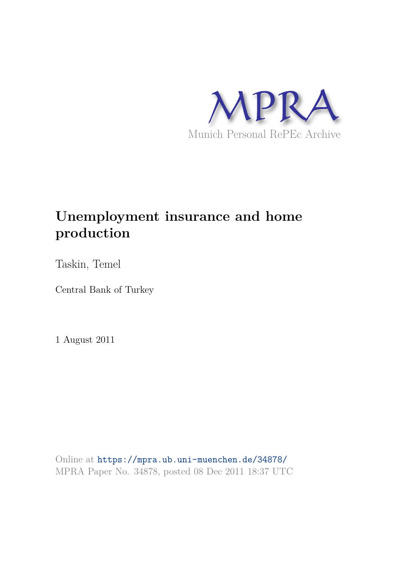

# **Unemployment insurance and home production**

Taskin, Temel

Central Bank of Turkey

1 August 2011

Online at https://mpra.ub.uni-muenchen.de/34878/ MPRA Paper No. 34878, posted 08 Dec 2011 18:37 UTC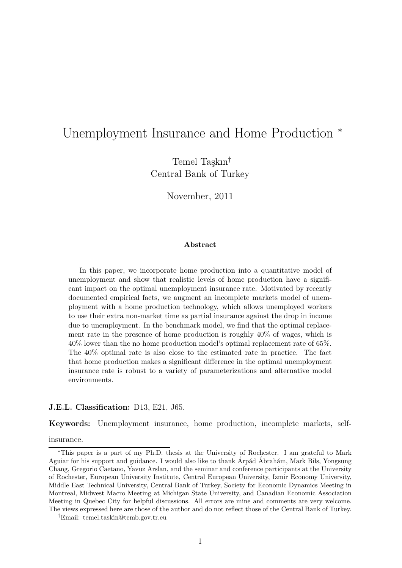# Unemployment Insurance and Home Production <sup>∗</sup>

Temel Taşkın $^{\dagger}$ Central Bank of Turkey

November, 2011

#### Abstract

In this paper, we incorporate home production into a quantitative model of unemployment and show that realistic levels of home production have a significant impact on the optimal unemployment insurance rate. Motivated by recently documented empirical facts, we augment an incomplete markets model of unemployment with a home production technology, which allows unemployed workers to use their extra non-market time as partial insurance against the drop in income due to unemployment. In the benchmark model, we find that the optimal replacement rate in the presence of home production is roughly 40% of wages, which is 40% lower than the no home production model's optimal replacement rate of 65%. The 40% optimal rate is also close to the estimated rate in practice. The fact that home production makes a significant difference in the optimal unemployment insurance rate is robust to a variety of parameterizations and alternative model environments.

#### J.E.L. Classification: D13, E21, J65.

Keywords: Unemployment insurance, home production, incomplete markets, self-

insurance.

<sup>∗</sup>This paper is a part of my Ph.D. thesis at the University of Rochester. I am grateful to Mark Aguiar for his support and guidance. I would also like to thank Arpád Abrahám, Mark Bils, Yongsung Chang, Gregorio Caetano, Yavuz Arslan, and the seminar and conference participants at the University of Rochester, European University Institute, Central European University, Izmir Economy University, Middle East Technical University, Central Bank of Turkey, Society for Economic Dynamics Meeting in Montreal, Midwest Macro Meeting at Michigan State University, and Canadian Economic Association Meeting in Quebec City for helpful discussions. All errors are mine and comments are very welcome. The views expressed here are those of the author and do not reflect those of the Central Bank of Turkey.

<sup>†</sup>Email: temel.taskin@tcmb.gov.tr.eu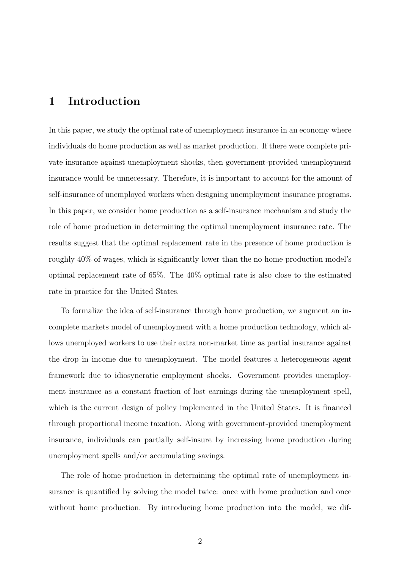### 1 Introduction

In this paper, we study the optimal rate of unemployment insurance in an economy where individuals do home production as well as market production. If there were complete private insurance against unemployment shocks, then government-provided unemployment insurance would be unnecessary. Therefore, it is important to account for the amount of self-insurance of unemployed workers when designing unemployment insurance programs. In this paper, we consider home production as a self-insurance mechanism and study the role of home production in determining the optimal unemployment insurance rate. The results suggest that the optimal replacement rate in the presence of home production is roughly 40% of wages, which is significantly lower than the no home production model's optimal replacement rate of 65%. The 40% optimal rate is also close to the estimated rate in practice for the United States.

To formalize the idea of self-insurance through home production, we augment an incomplete markets model of unemployment with a home production technology, which allows unemployed workers to use their extra non-market time as partial insurance against the drop in income due to unemployment. The model features a heterogeneous agent framework due to idiosyncratic employment shocks. Government provides unemployment insurance as a constant fraction of lost earnings during the unemployment spell, which is the current design of policy implemented in the United States. It is financed through proportional income taxation. Along with government-provided unemployment insurance, individuals can partially self-insure by increasing home production during unemployment spells and/or accumulating savings.

The role of home production in determining the optimal rate of unemployment insurance is quantified by solving the model twice: once with home production and once without home production. By introducing home production into the model, we dif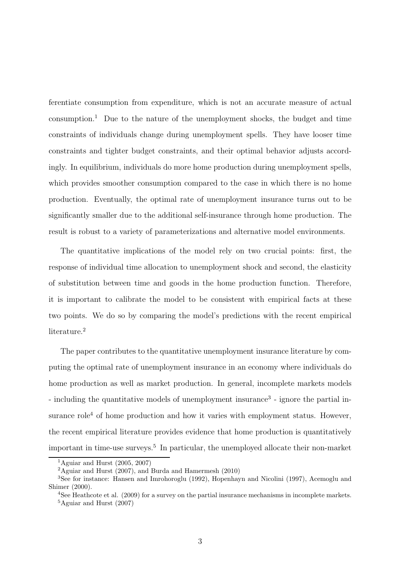ferentiate consumption from expenditure, which is not an accurate measure of actual consumption.<sup>1</sup> Due to the nature of the unemployment shocks, the budget and time constraints of individuals change during unemployment spells. They have looser time constraints and tighter budget constraints, and their optimal behavior adjusts accordingly. In equilibrium, individuals do more home production during unemployment spells, which provides smoother consumption compared to the case in which there is no home production. Eventually, the optimal rate of unemployment insurance turns out to be significantly smaller due to the additional self-insurance through home production. The result is robust to a variety of parameterizations and alternative model environments.

The quantitative implications of the model rely on two crucial points: first, the response of individual time allocation to unemployment shock and second, the elasticity of substitution between time and goods in the home production function. Therefore, it is important to calibrate the model to be consistent with empirical facts at these two points. We do so by comparing the model's predictions with the recent empirical literature.<sup>2</sup>

The paper contributes to the quantitative unemployment insurance literature by computing the optimal rate of unemployment insurance in an economy where individuals do home production as well as market production. In general, incomplete markets models - including the quantitative models of unemployment insurance<sup>3</sup> - ignore the partial insurance role<sup>4</sup> of home production and how it varies with employment status. However, the recent empirical literature provides evidence that home production is quantitatively important in time-use surveys.<sup>5</sup> In particular, the unemployed allocate their non-market

<sup>&</sup>lt;sup>1</sup>Aguiar and Hurst  $(2005, 2007)$ 

 $2A$ guiar and Hurst (2007), and Burda and Hamermesh (2010)

<sup>3</sup>See for instance: Hansen and Imrohoroglu (1992), Hopenhayn and Nicolini (1997), Acemoglu and Shimer (2000).

<sup>&</sup>lt;sup>4</sup>See Heathcote et al. (2009) for a survey on the partial insurance mechanisms in incomplete markets.  $5$ Aguiar and Hurst (2007)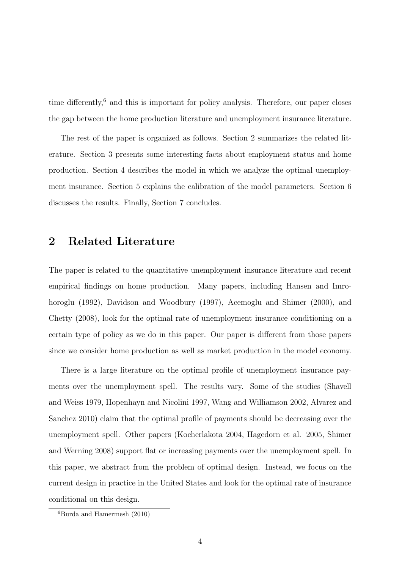time differently, $6$  and this is important for policy analysis. Therefore, our paper closes the gap between the home production literature and unemployment insurance literature.

The rest of the paper is organized as follows. Section 2 summarizes the related literature. Section 3 presents some interesting facts about employment status and home production. Section 4 describes the model in which we analyze the optimal unemployment insurance. Section 5 explains the calibration of the model parameters. Section 6 discusses the results. Finally, Section 7 concludes.

### 2 Related Literature

The paper is related to the quantitative unemployment insurance literature and recent empirical findings on home production. Many papers, including Hansen and Imrohoroglu (1992), Davidson and Woodbury (1997), Acemoglu and Shimer (2000), and Chetty (2008), look for the optimal rate of unemployment insurance conditioning on a certain type of policy as we do in this paper. Our paper is different from those papers since we consider home production as well as market production in the model economy.

There is a large literature on the optimal profile of unemployment insurance payments over the unemployment spell. The results vary. Some of the studies (Shavell and Weiss 1979, Hopenhayn and Nicolini 1997, Wang and Williamson 2002, Alvarez and Sanchez 2010) claim that the optimal profile of payments should be decreasing over the unemployment spell. Other papers (Kocherlakota 2004, Hagedorn et al. 2005, Shimer and Werning 2008) support flat or increasing payments over the unemployment spell. In this paper, we abstract from the problem of optimal design. Instead, we focus on the current design in practice in the United States and look for the optimal rate of insurance conditional on this design.

 ${}^{6}$ Burda and Hamermesh (2010)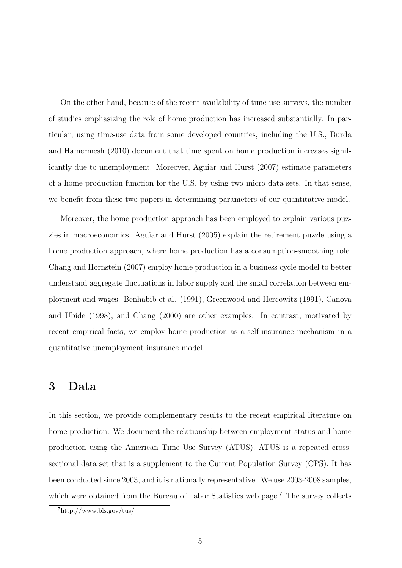On the other hand, because of the recent availability of time-use surveys, the number of studies emphasizing the role of home production has increased substantially. In particular, using time-use data from some developed countries, including the U.S., Burda and Hamermesh (2010) document that time spent on home production increases significantly due to unemployment. Moreover, Aguiar and Hurst (2007) estimate parameters of a home production function for the U.S. by using two micro data sets. In that sense, we benefit from these two papers in determining parameters of our quantitative model.

Moreover, the home production approach has been employed to explain various puzzles in macroeconomics. Aguiar and Hurst (2005) explain the retirement puzzle using a home production approach, where home production has a consumption-smoothing role. Chang and Hornstein (2007) employ home production in a business cycle model to better understand aggregate fluctuations in labor supply and the small correlation between employment and wages. Benhabib et al. (1991), Greenwood and Hercowitz (1991), Canova and Ubide (1998), and Chang (2000) are other examples. In contrast, motivated by recent empirical facts, we employ home production as a self-insurance mechanism in a quantitative unemployment insurance model.

### 3 Data

In this section, we provide complementary results to the recent empirical literature on home production. We document the relationship between employment status and home production using the American Time Use Survey (ATUS). ATUS is a repeated crosssectional data set that is a supplement to the Current Population Survey (CPS). It has been conducted since 2003, and it is nationally representative. We use 2003-2008 samples, which were obtained from the Bureau of Labor Statistics web page.<sup>7</sup> The survey collects

 $7$ http://www.bls.gov/tus/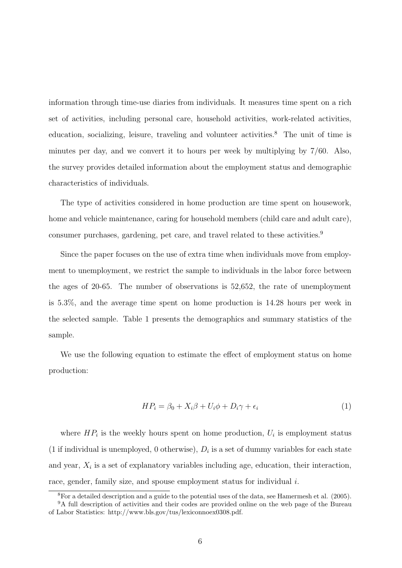information through time-use diaries from individuals. It measures time spent on a rich set of activities, including personal care, household activities, work-related activities, education, socializing, leisure, traveling and volunteer activities.<sup>8</sup> The unit of time is minutes per day, and we convert it to hours per week by multiplying by 7/60. Also, the survey provides detailed information about the employment status and demographic characteristics of individuals.

The type of activities considered in home production are time spent on housework, home and vehicle maintenance, caring for household members (child care and adult care), consumer purchases, gardening, pet care, and travel related to these activities.<sup>9</sup>

Since the paper focuses on the use of extra time when individuals move from employment to unemployment, we restrict the sample to individuals in the labor force between the ages of 20-65. The number of observations is 52,652, the rate of unemployment is 5.3%, and the average time spent on home production is 14.28 hours per week in the selected sample. Table 1 presents the demographics and summary statistics of the sample.

We use the following equation to estimate the effect of employment status on home production:

$$
HP_i = \beta_0 + X_i \beta + U_i \phi + D_i \gamma + \epsilon_i \tag{1}
$$

where  $HP_i$  is the weekly hours spent on home production,  $U_i$  is employment status (1 if individual is unemployed, 0 otherwise),  $D_i$  is a set of dummy variables for each state and year,  $X_i$  is a set of explanatory variables including age, education, their interaction, race, gender, family size, and spouse employment status for individual i.

<sup>8</sup>For a detailed description and a guide to the potential uses of the data, see Hamermesh et al. (2005).

<sup>&</sup>lt;sup>9</sup>A full description of activities and their codes are provided online on the web page of the Bureau of Labor Statistics: http://www.bls.gov/tus/lexiconnoex0308.pdf.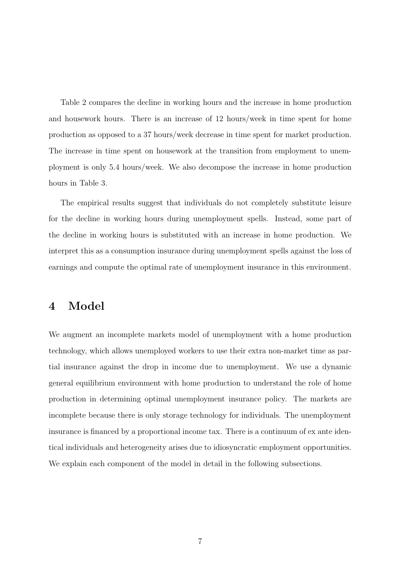Table 2 compares the decline in working hours and the increase in home production and housework hours. There is an increase of 12 hours/week in time spent for home production as opposed to a 37 hours/week decrease in time spent for market production. The increase in time spent on housework at the transition from employment to unemployment is only 5.4 hours/week. We also decompose the increase in home production hours in Table 3.

The empirical results suggest that individuals do not completely substitute leisure for the decline in working hours during unemployment spells. Instead, some part of the decline in working hours is substituted with an increase in home production. We interpret this as a consumption insurance during unemployment spells against the loss of earnings and compute the optimal rate of unemployment insurance in this environment.

# 4 Model

We augment an incomplete markets model of unemployment with a home production technology, which allows unemployed workers to use their extra non-market time as partial insurance against the drop in income due to unemployment. We use a dynamic general equilibrium environment with home production to understand the role of home production in determining optimal unemployment insurance policy. The markets are incomplete because there is only storage technology for individuals. The unemployment insurance is financed by a proportional income tax. There is a continuum of ex ante identical individuals and heterogeneity arises due to idiosyncratic employment opportunities. We explain each component of the model in detail in the following subsections.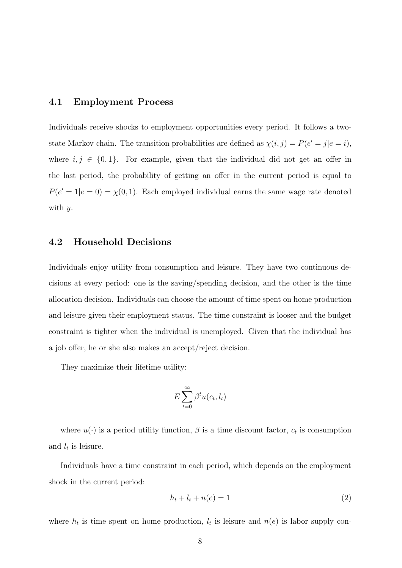#### 4.1 Employment Process

Individuals receive shocks to employment opportunities every period. It follows a twostate Markov chain. The transition probabilities are defined as  $\chi(i, j) = P(e' = j | e = i)$ , where  $i, j \in \{0, 1\}$ . For example, given that the individual did not get an offer in the last period, the probability of getting an offer in the current period is equal to  $P(e' = 1|e = 0) = \chi(0, 1)$ . Each employed individual earns the same wage rate denoted with  $y$ .

#### 4.2 Household Decisions

Individuals enjoy utility from consumption and leisure. They have two continuous decisions at every period: one is the saving/spending decision, and the other is the time allocation decision. Individuals can choose the amount of time spent on home production and leisure given their employment status. The time constraint is looser and the budget constraint is tighter when the individual is unemployed. Given that the individual has a job offer, he or she also makes an accept/reject decision.

They maximize their lifetime utility:

$$
E\sum_{t=0}^{\infty}\beta^t u(c_t,l_t)
$$

where  $u(\cdot)$  is a period utility function,  $\beta$  is a time discount factor,  $c_t$  is consumption and  $l_t$  is leisure.

Individuals have a time constraint in each period, which depends on the employment shock in the current period:

$$
h_t + l_t + n(e) = 1\tag{2}
$$

where  $h_t$  is time spent on home production,  $l_t$  is leisure and  $n(e)$  is labor supply con-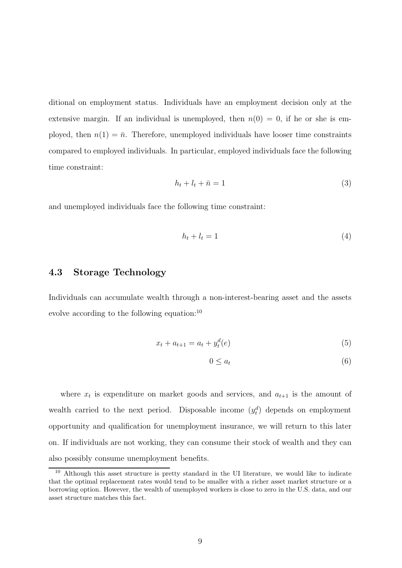ditional on employment status. Individuals have an employment decision only at the extensive margin. If an individual is unemployed, then  $n(0) = 0$ , if he or she is employed, then  $n(1) = \bar{n}$ . Therefore, unemployed individuals have looser time constraints compared to employed individuals. In particular, employed individuals face the following time constraint:

$$
h_t + l_t + \bar{n} = 1 \tag{3}
$$

and unemployed individuals face the following time constraint:

$$
h_t + l_t = 1 \tag{4}
$$

#### 4.3 Storage Technology

Individuals can accumulate wealth through a non-interest-bearing asset and the assets evolve according to the following equation:<sup>10</sup>

$$
x_t + a_{t+1} = a_t + y_t^d(e)
$$
\n(5)

$$
0 \le a_t \tag{6}
$$

where  $x_t$  is expenditure on market goods and services, and  $a_{t+1}$  is the amount of wealth carried to the next period. Disposable income  $(y_t^d)$  depends on employment opportunity and qualification for unemployment insurance, we will return to this later on. If individuals are not working, they can consume their stock of wealth and they can also possibly consume unemployment benefits.

<sup>&</sup>lt;sup>10</sup> Although this asset structure is pretty standard in the UI literature, we would like to indicate that the optimal replacement rates would tend to be smaller with a richer asset market structure or a borrowing option. However, the wealth of unemployed workers is close to zero in the U.S. data, and our asset structure matches this fact.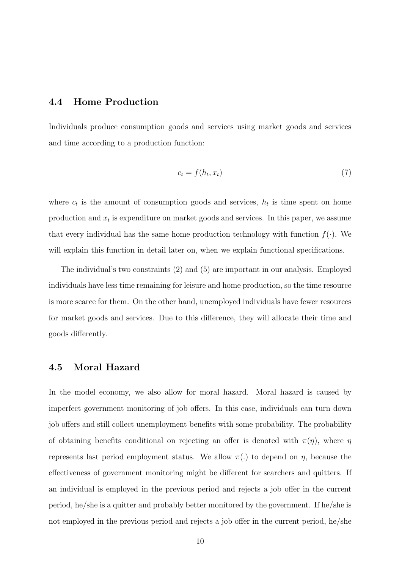#### 4.4 Home Production

Individuals produce consumption goods and services using market goods and services and time according to a production function:

$$
c_t = f(h_t, x_t) \tag{7}
$$

where  $c_t$  is the amount of consumption goods and services,  $h_t$  is time spent on home production and  $x_t$  is expenditure on market goods and services. In this paper, we assume that every individual has the same home production technology with function  $f(.)$ . We will explain this function in detail later on, when we explain functional specifications.

The individual's two constraints (2) and (5) are important in our analysis. Employed individuals have less time remaining for leisure and home production, so the time resource is more scarce for them. On the other hand, unemployed individuals have fewer resources for market goods and services. Due to this difference, they will allocate their time and goods differently.

#### 4.5 Moral Hazard

In the model economy, we also allow for moral hazard. Moral hazard is caused by imperfect government monitoring of job offers. In this case, individuals can turn down job offers and still collect unemployment benefits with some probability. The probability of obtaining benefits conditional on rejecting an offer is denoted with  $\pi(\eta)$ , where  $\eta$ represents last period employment status. We allow  $\pi(.)$  to depend on  $\eta$ , because the effectiveness of government monitoring might be different for searchers and quitters. If an individual is employed in the previous period and rejects a job offer in the current period, he/she is a quitter and probably better monitored by the government. If he/she is not employed in the previous period and rejects a job offer in the current period, he/she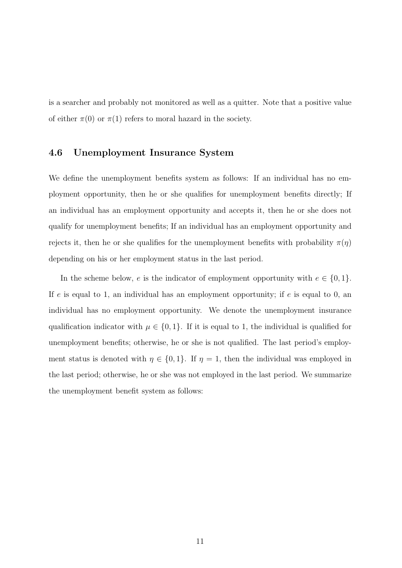is a searcher and probably not monitored as well as a quitter. Note that a positive value of either  $\pi(0)$  or  $\pi(1)$  refers to moral hazard in the society.

#### 4.6 Unemployment Insurance System

We define the unemployment benefits system as follows: If an individual has no employment opportunity, then he or she qualifies for unemployment benefits directly; If an individual has an employment opportunity and accepts it, then he or she does not qualify for unemployment benefits; If an individual has an employment opportunity and rejects it, then he or she qualifies for the unemployment benefits with probability  $\pi(\eta)$ depending on his or her employment status in the last period.

In the scheme below, e is the indicator of employment opportunity with  $e \in \{0, 1\}$ . If e is equal to 1, an individual has an employment opportunity; if e is equal to 0, an individual has no employment opportunity. We denote the unemployment insurance qualification indicator with  $\mu \in \{0, 1\}$ . If it is equal to 1, the individual is qualified for unemployment benefits; otherwise, he or she is not qualified. The last period's employment status is denoted with  $\eta \in \{0,1\}$ . If  $\eta = 1$ , then the individual was employed in the last period; otherwise, he or she was not employed in the last period. We summarize the unemployment benefit system as follows: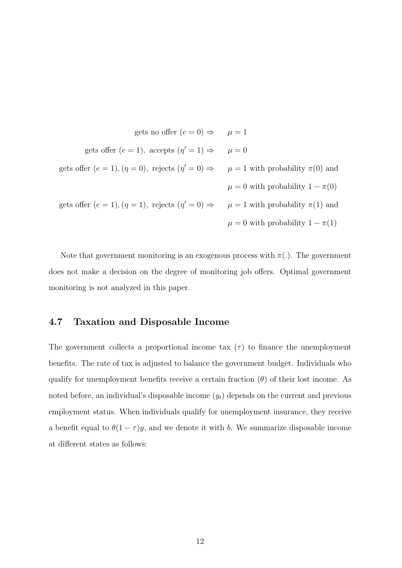gets no offer 
$$
(e = 0) \Rightarrow \mu = 1
$$
  
\ngets offer  $(e = 1)$ , accepts  $(\eta' = 1) \Rightarrow \mu = 0$   
\ngets offer  $(e = 1)$ ,  $(\eta = 0)$ , rejects  $(\eta' = 0) \Rightarrow \mu = 1$  with probability  $\pi(0)$  and  
\n $\mu = 0$  with probability  $1 - \pi(0)$   
\ngets offer  $(e = 1)$ ,  $(\eta = 1)$ , rejects  $(\eta' = 0) \Rightarrow \mu = 1$  with probability  $\pi(1)$  and  
\n $\mu = 0$  with probability  $1 - \pi(1)$ 

Note that government monitoring is an exogenous process with  $\pi(.)$ . The government does not make a decision on the degree of monitoring job offers. Optimal government monitoring is not analyzed in this paper.

#### 4.7 Taxation and Disposable Income

The government collects a proportional income tax  $(\tau)$  to finance the unemployment benefits. The rate of tax is adjusted to balance the government budget. Individuals who qualify for unemployment benefits receive a certain fraction  $(\theta)$  of their lost income. As noted before, an individual's disposable income  $(y_t)$  depends on the current and previous employment status. When individuals qualify for unemployment insurance, they receive a benefit equal to  $\theta(1-\tau)y$ , and we denote it with b. We summarize disposable income at different states as follows: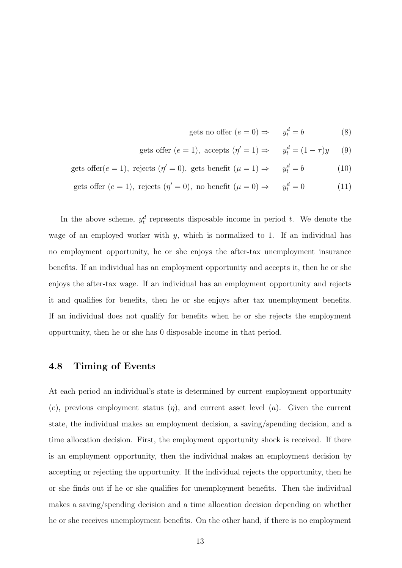gets no offer 
$$
(e = 0) \Rightarrow y_t^d = b
$$
 (8)

gets offer 
$$
(e = 1)
$$
, accepts  $(\eta' = 1) \Rightarrow y_t^d = (1 - \tau)y$  (9)

gets offer
$$
(e = 1)
$$
, rejects  $(\eta' = 0)$ , gets benefit  $(\mu = 1) \Rightarrow y_t^d = b$  (10)

gets offer 
$$
(e = 1)
$$
, rejects  $(\eta' = 0)$ , no benefit  $(\mu = 0) \Rightarrow y_t^d = 0$  (11)

In the above scheme,  $y_t^d$  represents disposable income in period t. We denote the wage of an employed worker with  $y$ , which is normalized to 1. If an individual has no employment opportunity, he or she enjoys the after-tax unemployment insurance benefits. If an individual has an employment opportunity and accepts it, then he or she enjoys the after-tax wage. If an individual has an employment opportunity and rejects it and qualifies for benefits, then he or she enjoys after tax unemployment benefits. If an individual does not qualify for benefits when he or she rejects the employment opportunity, then he or she has 0 disposable income in that period.

#### 4.8 Timing of Events

At each period an individual's state is determined by current employment opportunity (e), previous employment status  $(\eta)$ , and current asset level  $(a)$ . Given the current state, the individual makes an employment decision, a saving/spending decision, and a time allocation decision. First, the employment opportunity shock is received. If there is an employment opportunity, then the individual makes an employment decision by accepting or rejecting the opportunity. If the individual rejects the opportunity, then he or she finds out if he or she qualifies for unemployment benefits. Then the individual makes a saving/spending decision and a time allocation decision depending on whether he or she receives unemployment benefits. On the other hand, if there is no employment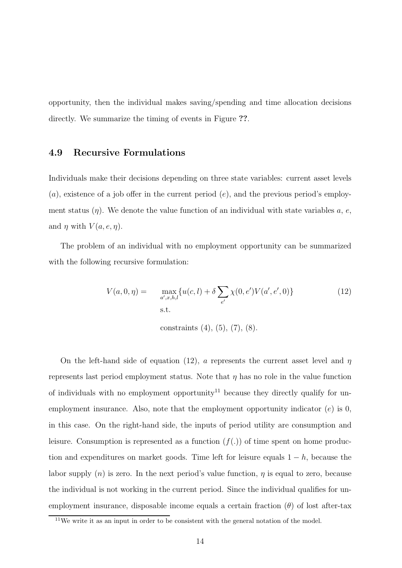opportunity, then the individual makes saving/spending and time allocation decisions directly. We summarize the timing of events in Figure ??.

#### 4.9 Recursive Formulations

Individuals make their decisions depending on three state variables: current asset levels  $(a)$ , existence of a job offer in the current period  $(e)$ , and the previous period's employment status  $(\eta)$ . We denote the value function of an individual with state variables a, e, and  $\eta$  with  $V(a, e, \eta)$ .

The problem of an individual with no employment opportunity can be summarized with the following recursive formulation:

$$
V(a,0,\eta) = \max_{a',x,h,l} \{ u(c,l) + \delta \sum_{e'} \chi(0,e')V(a',e',0) \}
$$
(12)  
s.t.

constraints (4), (5), (7), (8).

On the left-hand side of equation (12), a represents the current asset level and  $\eta$ represents last period employment status. Note that  $\eta$  has no role in the value function of individuals with no employment opportunity<sup>11</sup> because they directly qualify for unemployment insurance. Also, note that the employment opportunity indicator  $(e)$  is 0, in this case. On the right-hand side, the inputs of period utility are consumption and leisure. Consumption is represented as a function  $(f(.))$  of time spent on home production and expenditures on market goods. Time left for leisure equals  $1 - h$ , because the labor supply  $(n)$  is zero. In the next period's value function,  $\eta$  is equal to zero, because the individual is not working in the current period. Since the individual qualifies for unemployment insurance, disposable income equals a certain fraction  $(\theta)$  of lost after-tax

<sup>11</sup>We write it as an input in order to be consistent with the general notation of the model.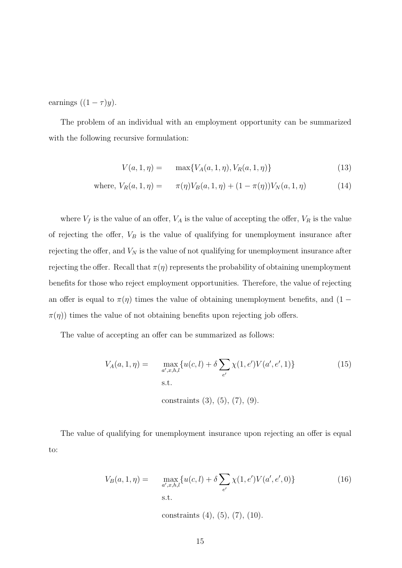earnings  $((1 - \tau)y)$ .

The problem of an individual with an employment opportunity can be summarized with the following recursive formulation:

$$
V(a, 1, \eta) = \max\{V_A(a, 1, \eta), V_R(a, 1, \eta)\}\tag{13}
$$

where, 
$$
V_R(a, 1, \eta) = \pi(\eta) V_B(a, 1, \eta) + (1 - \pi(\eta)) V_N(a, 1, \eta)
$$
 (14)

where  $V_f$  is the value of an offer,  $V_A$  is the value of accepting the offer,  $V_R$  is the value of rejecting the offer,  $V_B$  is the value of qualifying for unemployment insurance after rejecting the offer, and  $V_N$  is the value of not qualifying for unemployment insurance after rejecting the offer. Recall that  $\pi(\eta)$  represents the probability of obtaining unemployment benefits for those who reject employment opportunities. Therefore, the value of rejecting an offer is equal to  $\pi(\eta)$  times the value of obtaining unemployment benefits, and (1 −  $\pi(\eta)$  times the value of not obtaining benefits upon rejecting job offers.

The value of accepting an offer can be summarized as follows:

$$
V_A(a, 1, \eta) = \max_{a', x, h, l} \{ u(c, l) + \delta \sum_{e'} \chi(1, e') V(a', e', 1) \}
$$
(15)  
s.t.  
constraints (3), (5), (7), (9).

The value of qualifying for unemployment insurance upon rejecting an offer is equal to:

$$
V_B(a, 1, \eta) = \max_{a', x, h, l} \{ u(c, l) + \delta \sum_{e'} \chi(1, e') V(a', e', 0) \}
$$
(16)  
s.t.

constraints (4), (5), (7), (10).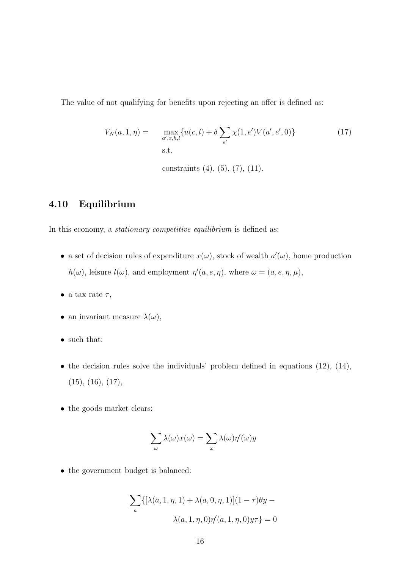The value of not qualifying for benefits upon rejecting an offer is defined as:

$$
V_N(a, 1, \eta) = \max_{a', x, h, l} \{ u(c, l) + \delta \sum_{e'} \chi(1, e') V(a', e', 0) \}
$$
(17)  
s.t.

constraints (4), (5), (7), (11).

### 4.10 Equilibrium

In this economy, a stationary competitive equilibrium is defined as:

- a set of decision rules of expenditure  $x(\omega)$ , stock of wealth  $a'(\omega)$ , home production  $h(\omega)$ , leisure  $l(\omega)$ , and employment  $\eta'(a, e, \eta)$ , where  $\omega = (a, e, \eta, \mu)$ ,
- a tax rate  $\tau$ ,
- $\bullet\,$  an invariant measure  $\lambda(\omega),$
- such that:
- the decision rules solve the individuals' problem defined in equations  $(12)$ ,  $(14)$ ,  $(15), (16), (17),$
- the goods market clears:

$$
\sum_{\omega} \lambda(\omega) x(\omega) = \sum_{\omega} \lambda(\omega) \eta'(\omega) y
$$

• the government budget is balanced:

$$
\sum_{a} \{ [\lambda(a, 1, \eta, 1) + \lambda(a, 0, \eta, 1)](1 - \tau)\theta y - \lambda(a, 1, \eta, 0)\eta'(a, 1, \eta, 0)y\tau \} = 0
$$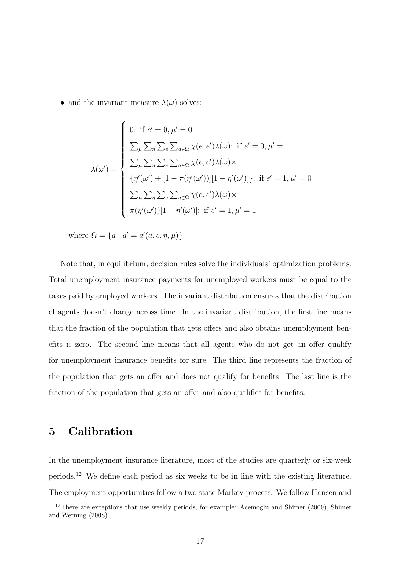• and the invariant measure  $\lambda(\omega)$  solves:

$$
\lambda(\omega') = \begin{cases}\n0; \text{ if } e' = 0, \mu' = 0 \\
\sum_{\mu} \sum_{\eta} \sum_{e} \sum_{a \in \Omega} \chi(e, e') \lambda(\omega); \text{ if } e' = 0, \mu' = 1 \\
\sum_{\mu} \sum_{\eta} \sum_{e} \sum_{a \in \Omega} \chi(e, e') \lambda(\omega) \times \\
\{\eta'(\omega') + [1 - \pi(\eta'(\omega'))][1 - \eta'(\omega')] \}; \text{ if } e' = 1, \mu' = 0 \\
\sum_{\mu} \sum_{\eta} \sum_{e} \sum_{a \in \Omega} \chi(e, e') \lambda(\omega) \times \\
\pi(\eta'(\omega'))[1 - \eta'(\omega')]; \text{ if } e' = 1, \mu' = 1\n\end{cases}
$$

where  $\Omega = \{a : a' = a'(a, e, \eta, \mu)\}.$ 

Note that, in equilibrium, decision rules solve the individuals' optimization problems. Total unemployment insurance payments for unemployed workers must be equal to the taxes paid by employed workers. The invariant distribution ensures that the distribution of agents doesn't change across time. In the invariant distribution, the first line means that the fraction of the population that gets offers and also obtains unemployment benefits is zero. The second line means that all agents who do not get an offer qualify for unemployment insurance benefits for sure. The third line represents the fraction of the population that gets an offer and does not qualify for benefits. The last line is the fraction of the population that gets an offer and also qualifies for benefits.

# 5 Calibration

In the unemployment insurance literature, most of the studies are quarterly or six-week periods.<sup>12</sup> We define each period as six weeks to be in line with the existing literature. The employment opportunities follow a two state Markov process. We follow Hansen and

<sup>&</sup>lt;sup>12</sup>There are exceptions that use weekly periods, for example: Acemoglu and Shimer (2000), Shimer and Werning (2008).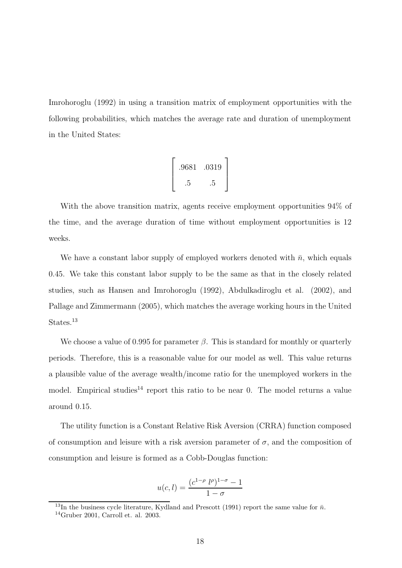Imrohoroglu (1992) in using a transition matrix of employment opportunities with the following probabilities, which matches the average rate and duration of unemployment in the United States:

$$
\left[\begin{array}{cc} .9681 & .0319 \\ .5 & .5 \end{array}\right]
$$

With the above transition matrix, agents receive employment opportunities 94% of the time, and the average duration of time without employment opportunities is 12 weeks.

We have a constant labor supply of employed workers denoted with  $\bar{n}$ , which equals 0.45. We take this constant labor supply to be the same as that in the closely related studies, such as Hansen and Imrohoroglu (1992), Abdulkadiroglu et al. (2002), and Pallage and Zimmermann (2005), which matches the average working hours in the United States.<sup>13</sup>

We choose a value of 0.995 for parameter  $\beta$ . This is standard for monthly or quarterly periods. Therefore, this is a reasonable value for our model as well. This value returns a plausible value of the average wealth/income ratio for the unemployed workers in the model. Empirical studies<sup>14</sup> report this ratio to be near 0. The model returns a value around 0.15.

The utility function is a Constant Relative Risk Aversion (CRRA) function composed of consumption and leisure with a risk aversion parameter of  $\sigma$ , and the composition of consumption and leisure is formed as a Cobb-Douglas function:

$$
u(c, l) = \frac{(c^{1-\rho} \ l^{\rho})^{1-\sigma} - 1}{1 - \sigma}
$$

<sup>&</sup>lt;sup>13</sup>In the business cycle literature, Kydland and Prescott (1991) report the same value for  $\bar{n}$ .  $14$ Gruber 2001, Carroll et. al. 2003.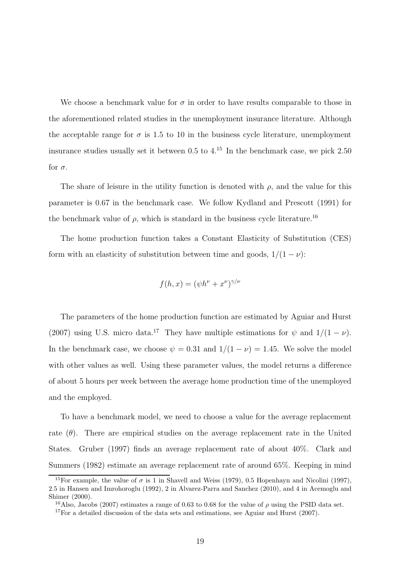We choose a benchmark value for  $\sigma$  in order to have results comparable to those in the aforementioned related studies in the unemployment insurance literature. Although the acceptable range for  $\sigma$  is 1.5 to 10 in the business cycle literature, unemployment insurance studies usually set it between  $0.5$  to  $4<sup>15</sup>$  In the benchmark case, we pick 2.50 for  $\sigma$ .

The share of leisure in the utility function is denoted with  $\rho$ , and the value for this parameter is 0.67 in the benchmark case. We follow Kydland and Prescott (1991) for the benchmark value of  $\rho$ , which is standard in the business cycle literature.<sup>16</sup>

The home production function takes a Constant Elasticity of Substitution (CES) form with an elasticity of substitution between time and goods,  $1/(1 - \nu)$ :

$$
f(h, x) = (\psi h^{\nu} + x^{\nu})^{\gamma/\nu}
$$

The parameters of the home production function are estimated by Aguiar and Hurst (2007) using U.S. micro data.<sup>17</sup> They have multiple estimations for  $\psi$  and  $1/(1 - \nu)$ . In the benchmark case, we choose  $\psi = 0.31$  and  $1/(1 - \nu) = 1.45$ . We solve the model with other values as well. Using these parameter values, the model returns a difference of about 5 hours per week between the average home production time of the unemployed and the employed.

To have a benchmark model, we need to choose a value for the average replacement rate  $(\theta)$ . There are empirical studies on the average replacement rate in the United States. Gruber (1997) finds an average replacement rate of about 40%. Clark and Summers (1982) estimate an average replacement rate of around 65%. Keeping in mind

<sup>&</sup>lt;sup>15</sup>For example, the value of  $\sigma$  is 1 in Shavell and Weiss (1979), 0.5 Hopenhayn and Nicolini (1997), 2.5 in Hansen and Imrohoroglu (1992), 2 in Alvarez-Parra and Sanchez (2010), and 4 in Acemoglu and Shimer (2000).

<sup>&</sup>lt;sup>16</sup>Also, Jacobs (2007) estimates a range of 0.63 to 0.68 for the value of  $\rho$  using the PSID data set.

<sup>&</sup>lt;sup>17</sup>For a detailed discussion of the data sets and estimations, see Aguiar and Hurst  $(2007)$ .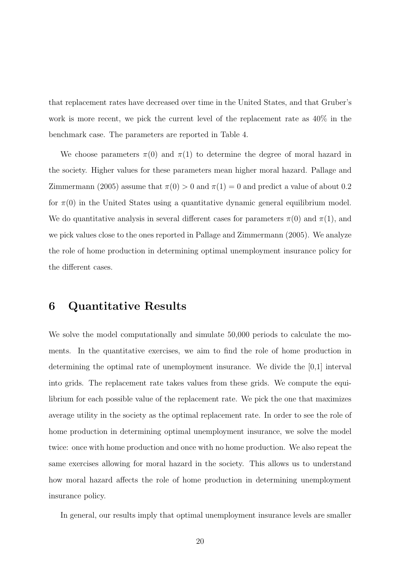that replacement rates have decreased over time in the United States, and that Gruber's work is more recent, we pick the current level of the replacement rate as 40% in the benchmark case. The parameters are reported in Table 4.

We choose parameters  $\pi(0)$  and  $\pi(1)$  to determine the degree of moral hazard in the society. Higher values for these parameters mean higher moral hazard. Pallage and Zimmermann (2005) assume that  $\pi(0) > 0$  and  $\pi(1) = 0$  and predict a value of about 0.2 for  $\pi(0)$  in the United States using a quantitative dynamic general equilibrium model. We do quantitative analysis in several different cases for parameters  $\pi(0)$  and  $\pi(1)$ , and we pick values close to the ones reported in Pallage and Zimmermann (2005). We analyze the role of home production in determining optimal unemployment insurance policy for the different cases.

# 6 Quantitative Results

We solve the model computationally and simulate 50,000 periods to calculate the moments. In the quantitative exercises, we aim to find the role of home production in determining the optimal rate of unemployment insurance. We divide the [0,1] interval into grids. The replacement rate takes values from these grids. We compute the equilibrium for each possible value of the replacement rate. We pick the one that maximizes average utility in the society as the optimal replacement rate. In order to see the role of home production in determining optimal unemployment insurance, we solve the model twice: once with home production and once with no home production. We also repeat the same exercises allowing for moral hazard in the society. This allows us to understand how moral hazard affects the role of home production in determining unemployment insurance policy.

In general, our results imply that optimal unemployment insurance levels are smaller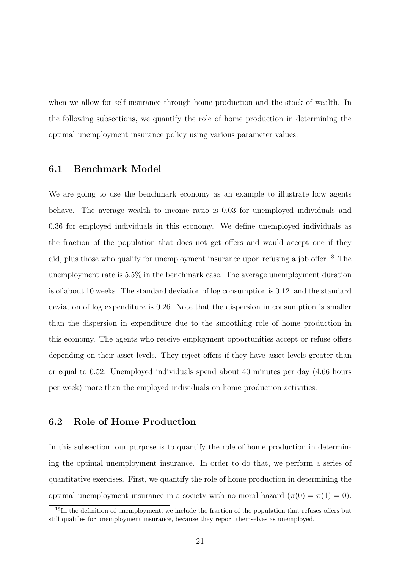when we allow for self-insurance through home production and the stock of wealth. In the following subsections, we quantify the role of home production in determining the optimal unemployment insurance policy using various parameter values.

#### 6.1 Benchmark Model

We are going to use the benchmark economy as an example to illustrate how agents behave. The average wealth to income ratio is 0.03 for unemployed individuals and 0.36 for employed individuals in this economy. We define unemployed individuals as the fraction of the population that does not get offers and would accept one if they did, plus those who qualify for unemployment insurance upon refusing a job offer.<sup>18</sup> The unemployment rate is 5.5% in the benchmark case. The average unemployment duration is of about 10 weeks. The standard deviation of log consumption is 0.12, and the standard deviation of log expenditure is 0.26. Note that the dispersion in consumption is smaller than the dispersion in expenditure due to the smoothing role of home production in this economy. The agents who receive employment opportunities accept or refuse offers depending on their asset levels. They reject offers if they have asset levels greater than or equal to 0.52. Unemployed individuals spend about 40 minutes per day (4.66 hours per week) more than the employed individuals on home production activities.

#### 6.2 Role of Home Production

In this subsection, our purpose is to quantify the role of home production in determining the optimal unemployment insurance. In order to do that, we perform a series of quantitative exercises. First, we quantify the role of home production in determining the optimal unemployment insurance in a society with no moral hazard  $(\pi(0) = \pi(1) = 0)$ .

<sup>&</sup>lt;sup>18</sup>In the definition of unemployment, we include the fraction of the population that refuses offers but still qualifies for unemployment insurance, because they report themselves as unemployed.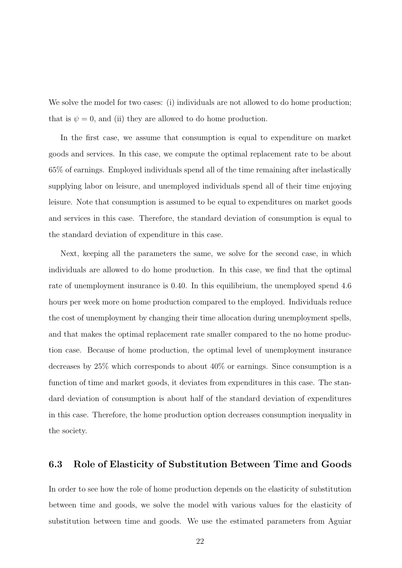We solve the model for two cases: (i) individuals are not allowed to do home production; that is  $\psi = 0$ , and (ii) they are allowed to do home production.

In the first case, we assume that consumption is equal to expenditure on market goods and services. In this case, we compute the optimal replacement rate to be about 65% of earnings. Employed individuals spend all of the time remaining after inelastically supplying labor on leisure, and unemployed individuals spend all of their time enjoying leisure. Note that consumption is assumed to be equal to expenditures on market goods and services in this case. Therefore, the standard deviation of consumption is equal to the standard deviation of expenditure in this case.

Next, keeping all the parameters the same, we solve for the second case, in which individuals are allowed to do home production. In this case, we find that the optimal rate of unemployment insurance is 0.40. In this equilibrium, the unemployed spend 4.6 hours per week more on home production compared to the employed. Individuals reduce the cost of unemployment by changing their time allocation during unemployment spells, and that makes the optimal replacement rate smaller compared to the no home production case. Because of home production, the optimal level of unemployment insurance decreases by 25% which corresponds to about 40% or earnings. Since consumption is a function of time and market goods, it deviates from expenditures in this case. The standard deviation of consumption is about half of the standard deviation of expenditures in this case. Therefore, the home production option decreases consumption inequality in the society.

#### 6.3 Role of Elasticity of Substitution Between Time and Goods

In order to see how the role of home production depends on the elasticity of substitution between time and goods, we solve the model with various values for the elasticity of substitution between time and goods. We use the estimated parameters from Aguiar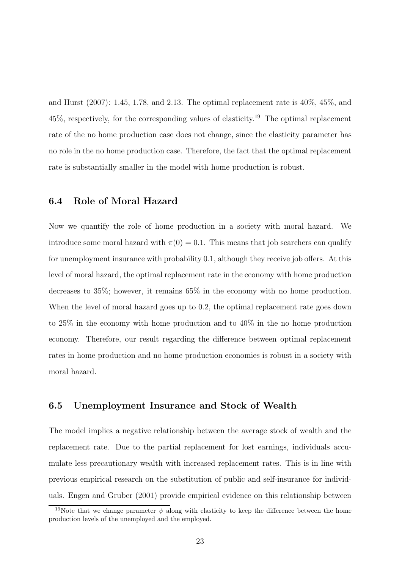and Hurst (2007): 1.45, 1.78, and 2.13. The optimal replacement rate is 40%, 45%, and 45%, respectively, for the corresponding values of elasticity.<sup>19</sup> The optimal replacement rate of the no home production case does not change, since the elasticity parameter has no role in the no home production case. Therefore, the fact that the optimal replacement rate is substantially smaller in the model with home production is robust.

#### 6.4 Role of Moral Hazard

Now we quantify the role of home production in a society with moral hazard. We introduce some moral hazard with  $\pi(0) = 0.1$ . This means that job searchers can qualify for unemployment insurance with probability 0.1, although they receive job offers. At this level of moral hazard, the optimal replacement rate in the economy with home production decreases to 35%; however, it remains 65% in the economy with no home production. When the level of moral hazard goes up to 0.2, the optimal replacement rate goes down to 25% in the economy with home production and to 40% in the no home production economy. Therefore, our result regarding the difference between optimal replacement rates in home production and no home production economies is robust in a society with moral hazard.

#### 6.5 Unemployment Insurance and Stock of Wealth

The model implies a negative relationship between the average stock of wealth and the replacement rate. Due to the partial replacement for lost earnings, individuals accumulate less precautionary wealth with increased replacement rates. This is in line with previous empirical research on the substitution of public and self-insurance for individuals. Engen and Gruber (2001) provide empirical evidence on this relationship between

<sup>&</sup>lt;sup>19</sup>Note that we change parameter  $\psi$  along with elasticity to keep the difference between the home production levels of the unemployed and the employed.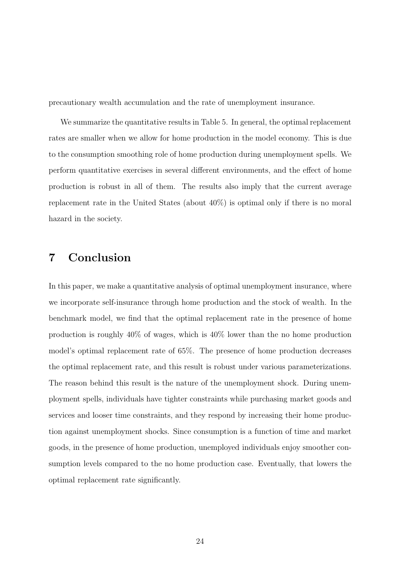precautionary wealth accumulation and the rate of unemployment insurance.

We summarize the quantitative results in Table 5. In general, the optimal replacement rates are smaller when we allow for home production in the model economy. This is due to the consumption smoothing role of home production during unemployment spells. We perform quantitative exercises in several different environments, and the effect of home production is robust in all of them. The results also imply that the current average replacement rate in the United States (about 40%) is optimal only if there is no moral hazard in the society.

# 7 Conclusion

In this paper, we make a quantitative analysis of optimal unemployment insurance, where we incorporate self-insurance through home production and the stock of wealth. In the benchmark model, we find that the optimal replacement rate in the presence of home production is roughly 40% of wages, which is 40% lower than the no home production model's optimal replacement rate of 65%. The presence of home production decreases the optimal replacement rate, and this result is robust under various parameterizations. The reason behind this result is the nature of the unemployment shock. During unemployment spells, individuals have tighter constraints while purchasing market goods and services and looser time constraints, and they respond by increasing their home production against unemployment shocks. Since consumption is a function of time and market goods, in the presence of home production, unemployed individuals enjoy smoother consumption levels compared to the no home production case. Eventually, that lowers the optimal replacement rate significantly.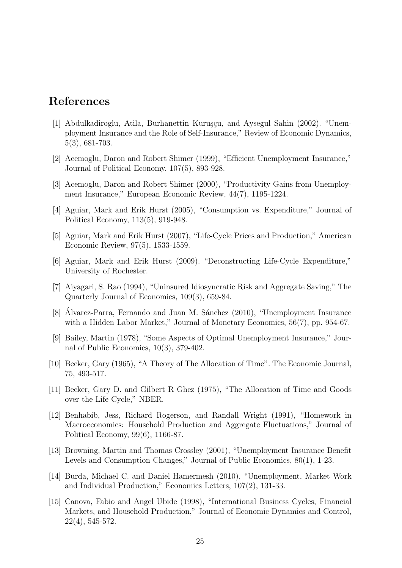# References

- [1] Abdulkadiroglu, Atila, Burhanettin Kuruşçu, and Aysegul Sahin (2002). "Unemployment Insurance and the Role of Self-Insurance," Review of Economic Dynamics, 5(3), 681-703.
- [2] Acemoglu, Daron and Robert Shimer (1999), "Efficient Unemployment Insurance," Journal of Political Economy, 107(5), 893-928.
- [3] Acemoglu, Daron and Robert Shimer (2000), "Productivity Gains from Unemployment Insurance," European Economic Review, 44(7), 1195-1224.
- [4] Aguiar, Mark and Erik Hurst (2005), "Consumption vs. Expenditure," Journal of Political Economy, 113(5), 919-948.
- [5] Aguiar, Mark and Erik Hurst (2007), "Life-Cycle Prices and Production," American Economic Review, 97(5), 1533-1559.
- [6] Aguiar, Mark and Erik Hurst (2009). "Deconstructing Life-Cycle Expenditure," University of Rochester.
- [7] Aiyagari, S. Rao (1994), "Uninsured Idiosyncratic Risk and Aggregate Saving," The Quarterly Journal of Economics, 109(3), 659-84.
- [8] Alvarez-Parra, Fernando and Juan M. Sánchez (2010), "Unemployment Insurance with a Hidden Labor Market," Journal of Monetary Economics, 56(7), pp. 954-67.
- [9] Bailey, Martin (1978), "Some Aspects of Optimal Unemployment Insurance," Journal of Public Economics, 10(3), 379-402.
- [10] Becker, Gary (1965), "A Theory of The Allocation of Time". The Economic Journal, 75, 493-517.
- [11] Becker, Gary D. and Gilbert R Ghez (1975), "The Allocation of Time and Goods over the Life Cycle," NBER.
- [12] Benhabib, Jess, Richard Rogerson, and Randall Wright (1991), "Homework in Macroeconomics: Household Production and Aggregate Fluctuations," Journal of Political Economy, 99(6), 1166-87.
- [13] Browning, Martin and Thomas Crossley (2001), "Unemployment Insurance Benefit Levels and Consumption Changes," Journal of Public Economics, 80(1), 1-23.
- [14] Burda, Michael C. and Daniel Hamermesh (2010), "Unemployment, Market Work and Individual Production," Economics Letters, 107(2), 131-33.
- [15] Canova, Fabio and Angel Ubide (1998), "International Business Cycles, Financial Markets, and Household Production," Journal of Economic Dynamics and Control, 22(4), 545-572.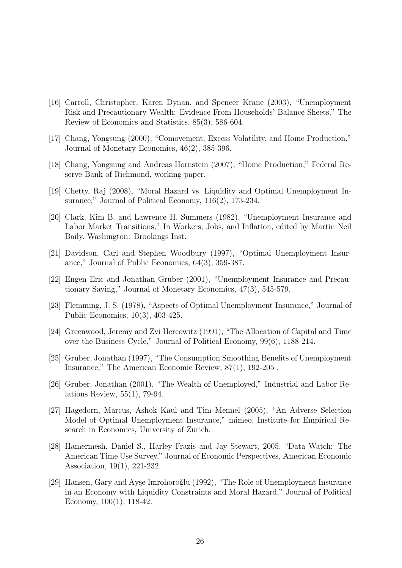- [16] Carroll, Christopher, Karen Dynan, and Spencer Krane (2003), "Unemployment Risk and Precautionary Wealth: Evidence From Households' Balance Sheets," The Review of Economics and Statistics, 85(3), 586-604.
- [17] Chang, Yongsung (2000), "Comovement, Excess Volatility, and Home Production," Journal of Monetary Economics, 46(2), 385-396.
- [18] Chang, Yongsung and Andreas Hornstein (2007), "Home Production," Federal Reserve Bank of Richmond, working paper.
- [19] Chetty, Raj (2008), "Moral Hazard vs. Liquidity and Optimal Unemployment Insurance," Journal of Political Economy, 116(2), 173-234.
- [20] Clark, Kim B. and Lawrence H. Summers (1982), "Unemployment Insurance and Labor Market Transitions," In Workers, Jobs, and Inflation, edited by Martin Neil Baily. Washington: Brookings Inst.
- [21] Davidson, Carl and Stephen Woodbury (1997), "Optimal Unemployment Insurance," Journal of Public Economics, 64(3), 359-387.
- [22] Engen Eric and Jonathan Gruber (2001), "Unemployment Insurance and Precautionary Saving," Journal of Monetary Economics, 47(3), 545-579.
- [23] Flemming, J. S. (1978), "Aspects of Optimal Unemployment Insurance," Journal of Public Economics, 10(3), 403-425.
- [24] Greenwood, Jeremy and Zvi Hercowitz (1991), "The Allocation of Capital and Time over the Business Cycle," Journal of Political Economy, 99(6), 1188-214.
- [25] Gruber, Jonathan (1997), "The Consumption Smoothing Benefits of Unemployment Insurance," The American Economic Review, 87(1), 192-205 .
- [26] Gruber, Jonathan (2001), "The Wealth of Unemployed," Industrial and Labor Relations Review, 55(1), 79-94.
- [27] Hagedorn, Marcus, Ashok Kaul and Tim Mennel (2005), "An Adverse Selection Model of Optimal Unemployment Insurance," mimeo, Institute for Empirical Research in Economics, University of Zurich.
- [28] Hamermesh, Daniel S., Harley Frazis and Jay Stewart, 2005. "Data Watch: The American Time Use Survey," Journal of Economic Perspectives, American Economic Association, 19(1), 221-232.
- [29] Hansen, Gary and Ayşe Imrohoroğlu (1992), "The Role of Unemployment Insurance in an Economy with Liquidity Constraints and Moral Hazard," Journal of Political Economy, 100(1), 118-42.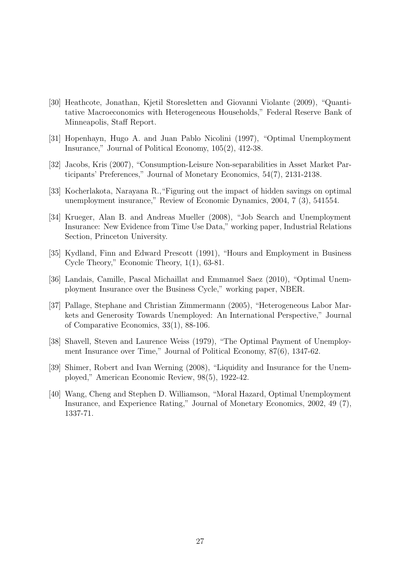- [30] Heathcote, Jonathan, Kjetil Storesletten and Giovanni Violante (2009), "Quantitative Macroeconomics with Heterogeneous Households," Federal Reserve Bank of Minneapolis, Staff Report.
- [31] Hopenhayn, Hugo A. and Juan Pablo Nicolini (1997), "Optimal Unemployment Insurance," Journal of Political Economy, 105(2), 412-38.
- [32] Jacobs, Kris (2007), "Consumption-Leisure Non-separabilities in Asset Market Participants' Preferences," Journal of Monetary Economics, 54(7), 2131-2138.
- [33] Kocherlakota, Narayana R.,"Figuring out the impact of hidden savings on optimal unemployment insurance," Review of Economic Dynamics, 2004, 7 (3), 541554.
- [34] Krueger, Alan B. and Andreas Mueller (2008), "Job Search and Unemployment Insurance: New Evidence from Time Use Data," working paper, Industrial Relations Section, Princeton University.
- [35] Kydland, Finn and Edward Prescott (1991), "Hours and Employment in Business Cycle Theory," Economic Theory, 1(1), 63-81.
- [36] Landais, Camille, Pascal Michaillat and Emmanuel Saez (2010), "Optimal Unemployment Insurance over the Business Cycle," working paper, NBER.
- [37] Pallage, Stephane and Christian Zimmermann (2005), "Heterogeneous Labor Markets and Generosity Towards Unemployed: An International Perspective," Journal of Comparative Economics, 33(1), 88-106.
- [38] Shavell, Steven and Laurence Weiss (1979), "The Optimal Payment of Unemployment Insurance over Time," Journal of Political Economy, 87(6), 1347-62.
- [39] Shimer, Robert and Ivan Werning (2008), "Liquidity and Insurance for the Unemployed," American Economic Review, 98(5), 1922-42.
- [40] Wang, Cheng and Stephen D. Williamson, "Moral Hazard, Optimal Unemployment Insurance, and Experience Rating," Journal of Monetary Economics, 2002, 49 (7), 1337-71.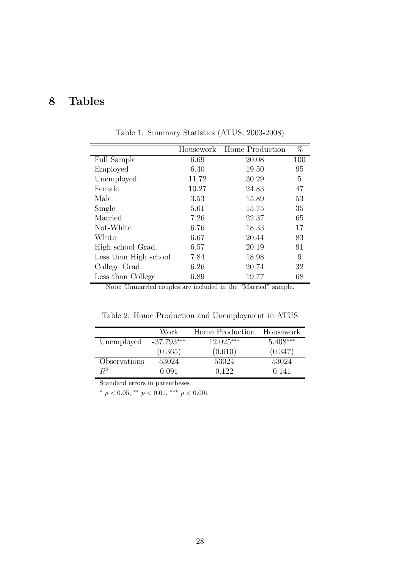# 8 Tables

|                       |       | Housework Home Production | %   |
|-----------------------|-------|---------------------------|-----|
| <b>Full Sample</b>    | 6.69  | 20.08                     | 100 |
| Employed              | 6.40  | 19.50                     | 95  |
| Unemployed            | 11.72 | 30.29                     | 5   |
| Female                | 10.27 | 24.83                     | 47  |
| Male                  | 3.53  | 15.89                     | 53  |
| Single                | 5.61  | 15.75                     | 35  |
| Married               | 7.26  | 22.37                     | 65  |
| Not-White             | 6.76  | 18.33                     | 17  |
| White                 | 6.67  | 20.44                     | 83  |
| High school Grad.     | 6.57  | 20.19                     | 91  |
| Less than High school | 7.84  | 18.98                     | 9   |
| College Grad.         | 6.26  | 20.74                     | 32  |
| Less than College     | 6.89  | 19.77                     | 68  |

Table 1: Summary Statistics (ATUS, 2003-2008)

Note: Unmarried couples are included in the "Married" sample.

Table 2: Home Production and Unemployment in ATUS

|              | Work         | Home Production | Housework  |
|--------------|--------------|-----------------|------------|
| Unemployed   | $-37.793***$ | $12.025***$     | $5.408***$ |
|              | (0.365)      | (0.610)         | (0.347)    |
| Observations | 53024        | 53024           | 53024      |
| $R^2$        | 0.091        | 0.122           | 0.141      |
|              |              |                 |            |

Standard errors in parentheses

 $*$   $p$   $<$   $0.05,$   $^{**}$   $p$   $<$   $0.01,$   $^{***}$   $p$   $<$   $0.001$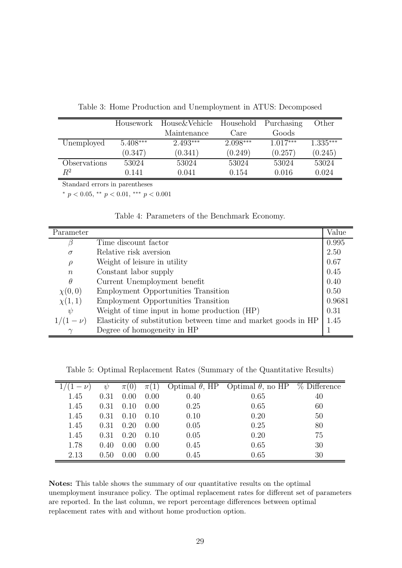|              | Housework  | House & Vehicle | Household  | Purchasing | Other      |
|--------------|------------|-----------------|------------|------------|------------|
|              |            | Maintenance     | Care.      | Goods      |            |
| Unemployed   | $5.408***$ | $2.493***$      | $2.098***$ | $1.017***$ | $1.335***$ |
|              | (0.347)    | (0.341)         | (0.249)    | (0.257)    | (0.245)    |
| Observations | 53024      | 53024           | 53024      | 53024      | 53024      |
| $R^2$        | 0.141      | 0.041           | 0.154      | 0.016      | 0.024      |

Table 3: Home Production and Unemployment in ATUS: Decomposed

Standard errors in parentheses

\*  $p < 0.05$ , \*\*  $p < 0.01$ , \*\*\*  $p < 0.001$ 

| Table 4: Parameters of the Benchmark Economy. |
|-----------------------------------------------|
|-----------------------------------------------|

| Parameter         |                                                                | Value  |
|-------------------|----------------------------------------------------------------|--------|
|                   | Time discount factor                                           | 0.995  |
| $\sigma$          | Relative risk aversion                                         | 2.50   |
| $\rho$            | Weight of leisure in utility                                   | 0.67   |
| $\boldsymbol{n}$  | Constant labor supply                                          | 0.45   |
| $\theta$          | Current Unemployment benefit                                   | 0.40   |
| $\chi(0,0)$       | <b>Employment Opportunities Transition</b>                     | 0.50   |
| $\chi(1,1)$       | <b>Employment Opportunities Transition</b>                     | 0.9681 |
| $\psi$            | Weight of time input in home production (HP)                   | 0.31   |
| 1/(1)<br>$-\nu$ ) | Elasticity of substitution between time and market goods in HP | 1.45   |
|                   | Degree of homogeneity in HP                                    |        |

Table 5: Optimal Replacement Rates (Summary of the Quantitative Results)

|      | $\psi$ | $\pi(U)$ | $\pi(1)$ |      | Optimal $\theta$ , HP Optimal $\theta$ , no HP | % Difference |
|------|--------|----------|----------|------|------------------------------------------------|--------------|
| 1.45 | 0.31   | 0.00     | 0.00     | 0.40 | 0.65                                           | 40           |
| 1.45 | 0.31   | 0.10     | 0.00     | 0.25 | 0.65                                           | 60           |
| 1.45 | 0.31   | 0.10     | (0.10)   | 0.10 | 0.20                                           | 50           |
| 1.45 | 0.31   | 0.20     | 0.00     | 0.05 | 0.25                                           | 80           |
| 1.45 | 0.31   | 0.20     | 0.10     | 0.05 | 0.20                                           | 75           |
| 1.78 | 0.40   | 0.00     | 0.00     | 0.45 | 0.65                                           | 30           |
| 2.13 | (0.50) | 0.00     | 0.00     | 0.45 | 0.65                                           | 30           |

Notes: This table shows the summary of our quantitative results on the optimal unemployment insurance policy. The optimal replacement rates for different set of parameters are reported. In the last column, we report percentage differences between optimal replacement rates with and without home production option.